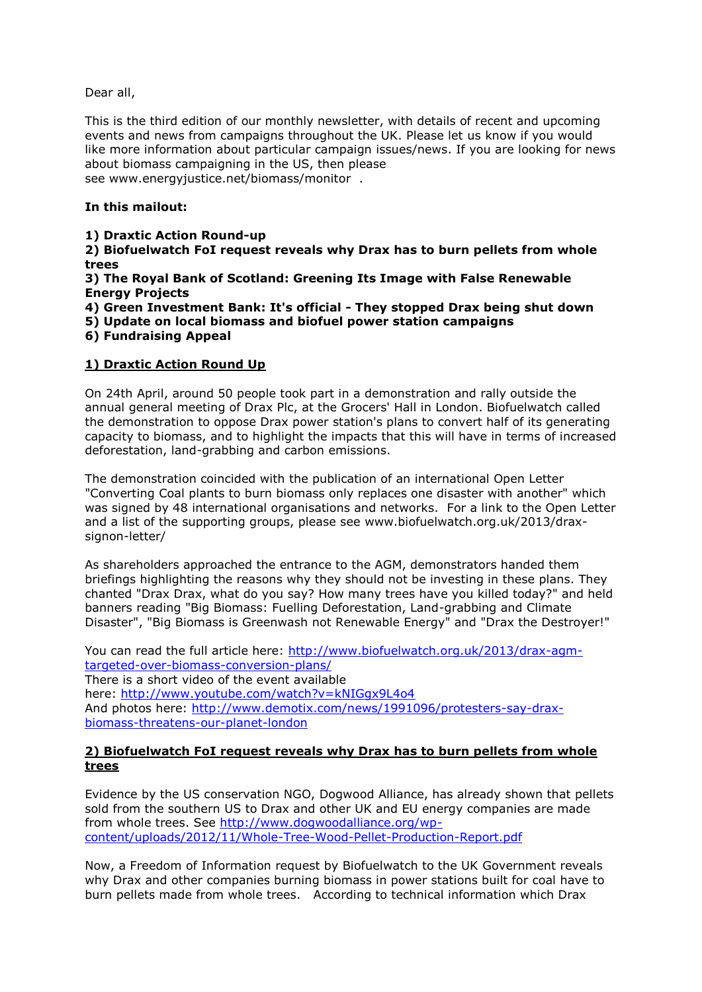Dear all,

This is the third edition of our monthly newsletter, with details of recent and upcoming events and news from campaigns throughout the UK. Please let us know if you would like more information about particular campaign issues/news. If you are looking for news about biomass campaigning in the US, then please see www.energyjustice.net/biomass/monitor .

### **In this mailout:**

### **1) Draxtic Action Round-up**

**2) Biofuelwatch FoI request reveals why Drax has to burn pellets from whole trees**

**3) The Royal Bank of Scotland: Greening Its Image with False Renewable Energy Projects**

**4) Green Investment Bank: It's official - They stopped Drax being shut down**

**5) Update on local biomass and biofuel power station campaigns**

**6) Fundraising Appeal**

### **1) Draxtic Action Round Up**

On 24th April, around 50 people took part in a demonstration and rally outside the annual general meeting of Drax Plc, at the Grocers' Hall in London. Biofuelwatch called the demonstration to oppose Drax power station's plans to convert half of its generating capacity to biomass, and to highlight the impacts that this will have in terms of increased deforestation, land-grabbing and carbon emissions.

The demonstration coincided with the publication of an international Open Letter "Converting Coal plants to burn biomass only replaces one disaster with another" which was signed by 48 international organisations and networks. For a link to the Open Letter and a list of the supporting groups, please see www.biofuelwatch.org.uk/2013/draxsignon-letter/

As shareholders approached the entrance to the AGM, demonstrators handed them briefings highlighting the reasons why they should not be investing in these plans. They chanted "Drax Drax, what do you say? How many trees have you killed today?" and held banners reading "Big Biomass: Fuelling Deforestation, Land-grabbing and Climate Disaster", "Big Biomass is Greenwash not Renewable Energy" and "Drax the Destroyer!"

You can read the full article here: [http://www.biofuelwatch.org.uk/2013/drax-agm](http://www.biofuelwatch.org.uk/2013/drax-agm-targeted-over-biomass-conversion-plans/)[targeted-over-biomass-conversion-plans/](http://www.biofuelwatch.org.uk/2013/drax-agm-targeted-over-biomass-conversion-plans/) There is a short video of the event available here: <http://www.youtube.com/watch?v=kNIGgx9L4o4> And photos here: [http://www.demotix.com/news/1991096/protesters-say-drax](http://www.youtube.com/watch?v=kNIGgx9L4o4)[biomass-threatens-our-planet-london](http://www.youtube.com/watch?v=kNIGgx9L4o4)

### **2) Biofuelwatch FoI request reveals why Drax has to burn pellets from whole trees**

Evidence by the US conservation NGO, Dogwood Alliance, has already shown that pellets sold from the southern US to Drax and other UK and EU energy companies are made from whole trees. See [http://www.dogwoodalliance.org/wp](http://www.youtube.com/watch?v=kNIGgx9L4o4)[content/uploads/2012/11/Whole-Tree-Wood-Pellet-Production-Report.pdf](http://www.youtube.com/watch?v=kNIGgx9L4o4) 

Now, a Freedom of Information request by Biofuelwatch to the UK Government reveals why Drax and other companies burning biomass in power stations built for coal have to burn pellets made from whole trees. According to technical information which Drax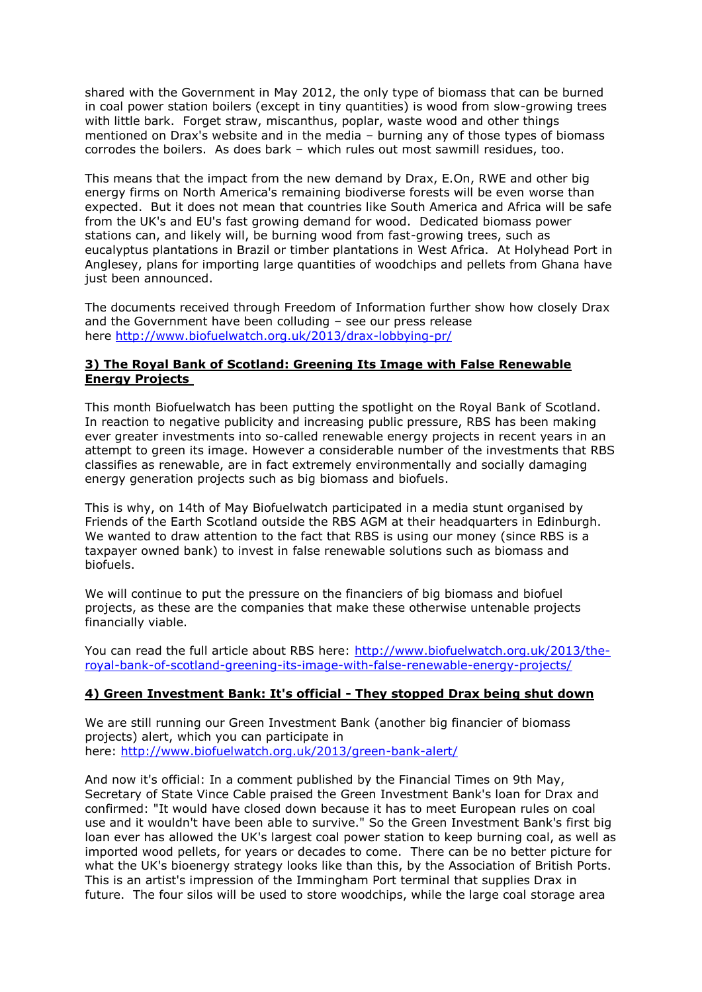shared with the Government in May 2012, the only type of biomass that can be burned in coal power station boilers (except in tiny quantities) is wood from slow-growing trees with little bark. Forget straw, miscanthus, poplar, waste wood and other things mentioned on Drax's website and in the media – burning any of those types of biomass corrodes the boilers. As does bark – which rules out most sawmill residues, too.

This means that the impact from the new demand by Drax, E.On, RWE and other big energy firms on North America's remaining biodiverse forests will be even worse than expected. But it does not mean that countries like South America and Africa will be safe from the UK's and EU's fast growing demand for wood. Dedicated biomass power stations can, and likely will, be burning wood from fast-growing trees, such as eucalyptus plantations in Brazil or timber plantations in West Africa. At Holyhead Port in Anglesey, plans for importing large quantities of woodchips and pellets from Ghana have just been announced.

The documents received through Freedom of Information further show how closely Drax and the Government have been colluding – see our press release here <http://www.biofuelwatch.org.uk/2013/drax-lobbying-pr/>

### **3) The Royal Bank of Scotland: Greening Its Image with False Renewable Energy Projects**

This month Biofuelwatch has been putting the spotlight on the Royal Bank of Scotland. In reaction to negative publicity and increasing public pressure, RBS has been making ever greater investments into so-called renewable energy projects in recent years in an attempt to green its image. However a considerable number of the investments that RBS classifies as renewable, are in fact extremely environmentally and socially damaging energy generation projects such as big biomass and biofuels.

This is why, on 14th of May Biofuelwatch participated in a media stunt organised by Friends of the Earth Scotland outside the RBS AGM at their headquarters in Edinburgh. We wanted to draw attention to the fact that RBS is using our money (since RBS is a taxpayer owned bank) to invest in false renewable solutions such as biomass and biofuels.

We will continue to put the pressure on the financiers of big biomass and biofuel projects, as these are the companies that make these otherwise untenable projects financially viable.

You can read the full article about RBS here: [http://www.biofuelwatch.org.uk/2013/the](http://www.biofuelwatch.org.uk/2013/the-royal-bank-of-scotland-greening-its-image-with-false-renewable-energy-projects/)[royal-bank-of-scotland-greening-its-image-with-false-renewable-energy-projects/](http://www.biofuelwatch.org.uk/2013/the-royal-bank-of-scotland-greening-its-image-with-false-renewable-energy-projects/)

#### **4) Green Investment Bank: It's official - They stopped Drax being shut down**

We are still running our Green Investment Bank (another big financier of biomass projects) alert, which you can participate in here: <http://www.biofuelwatch.org.uk/2013/green-bank-alert/>

And now it's official: In a comment published by the Financial Times on 9th May, Secretary of State Vince Cable praised the Green Investment Bank's loan for Drax and confirmed: "It would have closed down because it has to meet European rules on coal use and it wouldn't have been able to survive." So the Green Investment Bank's first big loan ever has allowed the UK's largest coal power station to keep burning coal, as well as imported wood pellets, for years or decades to come. There can be no better picture for what the UK's bioenergy strategy looks like than this, by the Association of British Ports. This is an artist's impression of the Immingham Port terminal that supplies Drax in future. The four silos will be used to store woodchips, while the large coal storage area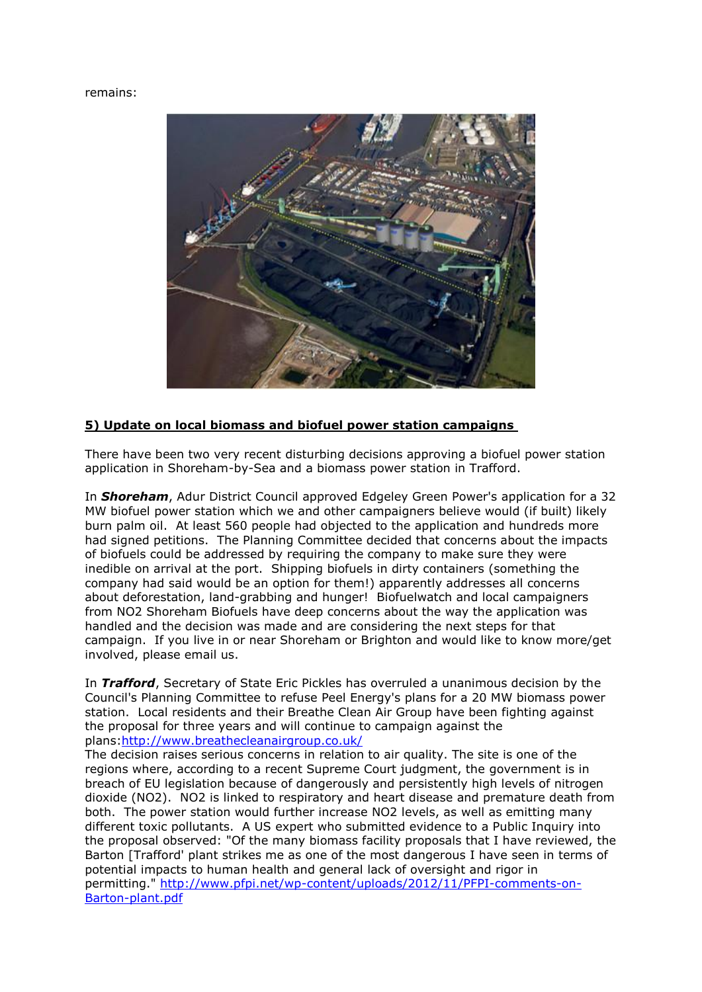#### remains:



## **5) Update on local biomass and biofuel power station campaigns**

There have been two very recent disturbing decisions approving a biofuel power station application in Shoreham-by-Sea and a biomass power station in Trafford.

In *Shoreham*, Adur District Council approved Edgeley Green Power's application for a 32 MW biofuel power station which we and other campaigners believe would (if built) likely burn palm oil. At least 560 people had objected to the application and hundreds more had signed petitions. The Planning Committee decided that concerns about the impacts of biofuels could be addressed by requiring the company to make sure they were inedible on arrival at the port. Shipping biofuels in dirty containers (something the company had said would be an option for them!) apparently addresses all concerns about deforestation, land-grabbing and hunger! Biofuelwatch and local campaigners from NO2 Shoreham Biofuels have deep concerns about the way the application was handled and the decision was made and are considering the next steps for that campaign. If you live in or near Shoreham or Brighton and would like to know more/get involved, please email us.

In *Trafford*, Secretary of State Eric Pickles has overruled a unanimous decision by the Council's Planning Committee to refuse Peel Energy's plans for a 20 MW biomass power station. Local residents and their Breathe Clean Air Group have been fighting against the proposal for three years and will continue to campaign against the plans[:http://www.breathecleanairgroup.co.uk/](http://www.breathecleanairgroup.co.uk/)

The decision raises serious concerns in relation to air quality. The site is one of the regions where, according to a recent Supreme Court judgment, the government is in breach of EU legislation because of dangerously and persistently high levels of nitrogen dioxide (NO2). NO2 is linked to respiratory and heart disease and premature death from both. The power station would further increase NO2 levels, as well as emitting many different toxic pollutants. A US expert who submitted evidence to a Public Inquiry into the proposal observed: "Of the many biomass facility proposals that I have reviewed, the Barton [Trafford' plant strikes me as one of the most dangerous I have seen in terms of potential impacts to human health and general lack of oversight and rigor in permitting." [http://www.pfpi.net/wp-content/uploads/2012/11/PFPI-comments-on-](http://www.breathecleanairgroup.co.uk/)[Barton-plant.pdf](http://www.breathecleanairgroup.co.uk/)